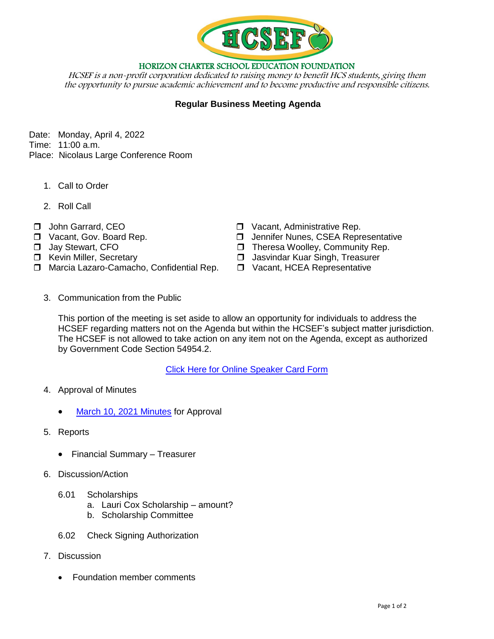

HORIZON CHARTER SCHOOL EDUCATION FOUNDATION

HCSEF is a non-profit corporation dedicated to raising money to benefit HCS students, giving them the opportunity to pursue academic achievement and to become productive and responsible citizens.

## **Regular Business Meeting Agenda**

Date: Monday, April 4, 2022 Time: 11:00 a.m.

- Place: Nicolaus Large Conference Room
	- 1. Call to Order
	- 2. Roll Call
- 
- 
- 
- 
- □ Marcia Lazaro-Camacho, Confidential Rep. □ Vacant, HCEA Representative
- John Garrard, CEO Vacant, Administrative Rep.
- □ Vacant, Gov. Board Rep. 2008 → D Jennifer Nunes, CSEA Representative
- □ Jay Stewart, CFO State State State State State State State State State State State State State State State State State State State State State State State State State State State State State State State State State Stat
- $\Box$  Kevin Miller, Secretary  $\Box$  Jasvindar Kuar Singh, Treasurer
	-
	- 3. Communication from the Public

This portion of the meeting is set aside to allow an opportunity for individuals to address the HCSEF regarding matters not on the Agenda but within the HCSEF's subject matter jurisdiction. The HCSEF is not allowed to take action on any item not on the Agenda, except as authorized by Government Code Section 54954.2.

[Click Here for Online Speaker Card Form](https://forms.gle/1Ad7NmftiSuScxKCA)

- 4. Approval of Minutes
	- [March 10, 2021](https://drive.google.com/file/d/1deNS2ayJlQl9dN1nsQ3Zm_AMbYHLpEOq/view?usp=sharing) Minutes for Approval
- 5. Reports
	- Financial Summary Treasurer
- 6. Discussion/Action
	- 6.01 Scholarships
		- a. Lauri Cox Scholarship amount?
		- b. Scholarship Committee
	- 6.02 Check Signing Authorization
- 7. Discussion
	- Foundation member comments